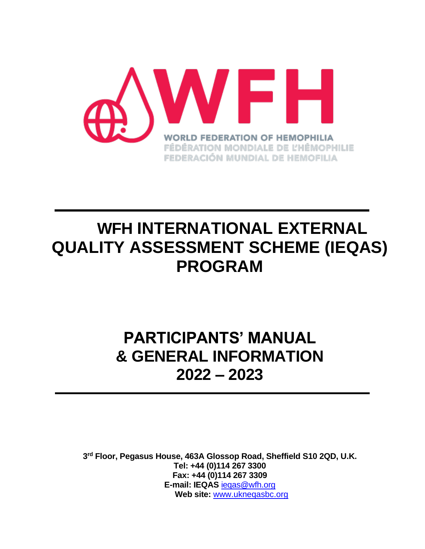

# **WFH INTERNATIONAL EXTERNAL QUALITY ASSESSMENT SCHEME (IEQAS) PROGRAM**

# **PARTICIPANTS' MANUAL & GENERAL INFORMATION 2022 – 2023**

**3 rd Floor, Pegasus House, 463A Glossop Road, Sheffield S10 2QD, U.K. Tel: +44 (0)114 267 3300 Fax: +44 (0)114 267 3309 E-mail: IEQAS** [ieqas@wfh.org](mailto:ieqas@wfh.org) Web site: www.uknegasbc.org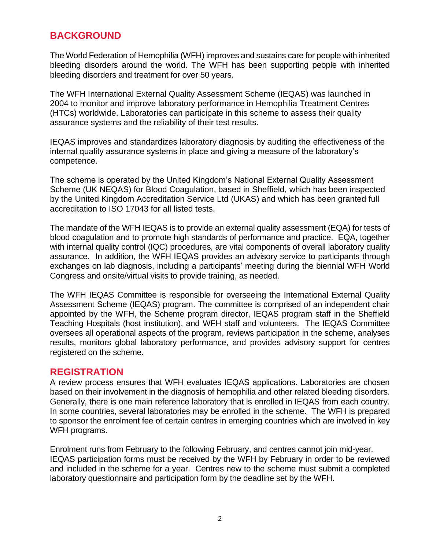## **BACKGROUND**

The World Federation of Hemophilia (WFH) improves and sustains care for people with inherited bleeding disorders around the world. The WFH has been supporting people with inherited bleeding disorders and treatment for over 50 years.

The WFH International External Quality Assessment Scheme (IEQAS) was launched in 2004 to monitor and improve laboratory performance in Hemophilia Treatment Centres (HTCs) worldwide. Laboratories can participate in this scheme to assess their quality assurance systems and the reliability of their test results.

IEQAS improves and standardizes laboratory diagnosis by auditing the effectiveness of the internal quality assurance systems in place and giving a measure of the laboratory's competence.

The scheme is operated by the United Kingdom's National External Quality Assessment Scheme (UK NEQAS) for Blood Coagulation, based in Sheffield, which has been inspected by the United Kingdom Accreditation Service Ltd (UKAS) and which has been granted full accreditation to ISO 17043 for all listed tests.

The mandate of the WFH IEQAS is to provide an external quality assessment (EQA) for tests of blood coagulation and to promote high standards of performance and practice. EQA, together with internal quality control (IQC) procedures, are vital components of overall laboratory quality assurance. In addition, the WFH IEQAS provides an advisory service to participants through exchanges on lab diagnosis, including a participants' meeting during the biennial WFH World Congress and onsite/virtual visits to provide training, as needed.

The WFH IEQAS Committee is responsible for overseeing the International External Quality Assessment Scheme (IEQAS) program. The committee is comprised of an independent chair appointed by the WFH, the Scheme program director, IEQAS program staff in the Sheffield Teaching Hospitals (host institution), and WFH staff and volunteers. The IEQAS Committee oversees all operational aspects of the program, reviews participation in the scheme, analyses results, monitors global laboratory performance, and provides advisory support for centres registered on the scheme.

#### **REGISTRATION**

A review process ensures that WFH evaluates IEQAS applications. Laboratories are chosen based on their involvement in the diagnosis of hemophilia and other related bleeding disorders. Generally, there is one main reference laboratory that is enrolled in IEQAS from each country. In some countries, several laboratories may be enrolled in the scheme. The WFH is prepared to sponsor the enrolment fee of certain centres in emerging countries which are involved in key WFH programs.

Enrolment runs from February to the following February, and centres cannot join mid-year. IEQAS participation forms must be received by the WFH by February in order to be reviewed and included in the scheme for a year. Centres new to the scheme must submit a completed laboratory questionnaire and participation form by the deadline set by the WFH.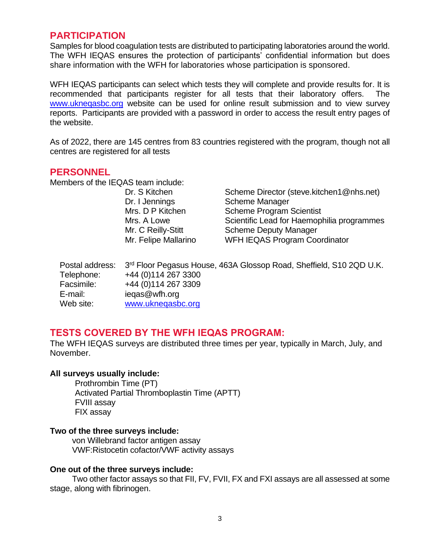## **PARTICIPATION**

Samples for blood coagulation tests are distributed to participating laboratories around the world. The WFH IEQAS ensures the protection of participants' confidential information but does share information with the WFH for laboratories whose participation is sponsored.

WFH IEQAS participants can select which tests they will complete and provide results for. It is recommended that participants register for all tests that their laboratory offers. The [www.ukneqasbc.org](http://www.ukneqasbc.org/) website can be used for online result submission and to view survey reports. Participants are provided with a password in order to access the result entry pages of the website.

As of 2022, there are 145 centres from 83 countries registered with the program, though not all centres are registered for all tests

#### **PERSONNEL**

Members of the IEQAS team include:

Dr. I Jennings Scheme Manager

Dr. S Kitchen Scheme Director (steve.kitchen1@nhs.net) Mrs. D P Kitchen Scheme Program Scientist Mrs. A Lowe Scientific Lead for Haemophilia programmes Mr. C Reilly-Stitt Scheme Deputy Manager Mr. Felipe Mallarino WFH IEQAS Program Coordinator

|            | Postal address:  3 <sup>rd</sup> Floor Pegasus House, 463A Glossop Road, Sheffield, S10 2QD U.K. |
|------------|--------------------------------------------------------------------------------------------------|
| Telephone: | +44 (0) 114 267 3300                                                                             |
| Facsimile: | +44 (0) 114 267 3309                                                                             |
| E-mail:    | iegas@wfh.org                                                                                    |
| Web site:  | www.uknegasbc.org                                                                                |

## **TESTS COVERED BY THE WFH IEQAS PROGRAM:**

The WFH IEQAS surveys are distributed three times per year, typically in March, July, and November.

#### **All surveys usually include:**

Prothrombin Time (PT) Activated Partial Thromboplastin Time (APTT) FVIII assay FIX assay

#### **Two of the three surveys include:**

 von Willebrand factor antigen assay VWF:Ristocetin cofactor/VWF activity assays

#### **One out of the three surveys include:**

Two other factor assays so that FII, FV, FVII, FX and FXI assays are all assessed at some stage, along with fibrinogen.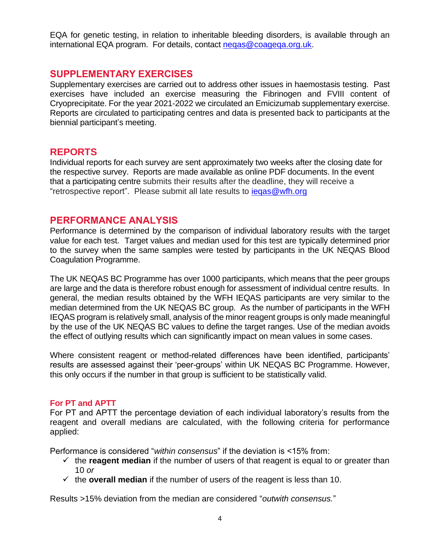EQA for genetic testing, in relation to inheritable bleeding disorders, is available through an international EQA program. For details, contact negas@coagega.org.uk.

## **SUPPLEMENTARY EXERCISES**

Supplementary exercises are carried out to address other issues in haemostasis testing. Past exercises have included an exercise measuring the Fibrinogen and FVIII content of Cryoprecipitate. For the year 2021-2022 we circulated an Emicizumab supplementary exercise. Reports are circulated to participating centres and data is presented back to participants at the biennial participant's meeting.

## **REPORTS**

Individual reports for each survey are sent approximately two weeks after the closing date for the respective survey. Reports are made available as online PDF documents. In the event that a participating centre submits their results after the deadline, they will receive a "retrospective report". Please submit all late results to [ieqas@wfh.org](mailto:ieqas@wfh.org)

## **PERFORMANCE ANALYSIS**

Performance is determined by the comparison of individual laboratory results with the target value for each test. Target values and median used for this test are typically determined prior to the survey when the same samples were tested by participants in the UK NEQAS Blood Coagulation Programme.

The UK NEQAS BC Programme has over 1000 participants, which means that the peer groups are large and the data is therefore robust enough for assessment of individual centre results. In general, the median results obtained by the WFH IEQAS participants are very similar to the median determined from the UK NEQAS BC group. As the number of participants in the WFH IEQAS program is relatively small, analysis of the minor reagent groups is only made meaningful by the use of the UK NEQAS BC values to define the target ranges. Use of the median avoids the effect of outlying results which can significantly impact on mean values in some cases.

Where consistent reagent or method-related differences have been identified, participants' results are assessed against their 'peer-groups' within UK NEQAS BC Programme. However, this only occurs if the number in that group is sufficient to be statistically valid.

#### **For PT and APTT**

For PT and APTT the percentage deviation of each individual laboratory's results from the reagent and overall medians are calculated, with the following criteria for performance applied:

Performance is considered "*within consensus*" if the deviation is <15% from:

- $\checkmark$  the **reagent median** if the number of users of that reagent is equal to or greater than 10 *or*
- $\checkmark$  the **overall median** if the number of users of the reagent is less than 10.

Results >15% deviation from the median are considered "*outwith consensus.*"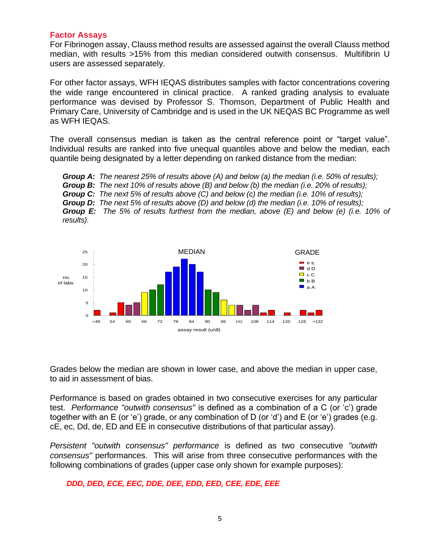#### **Factor Assays**

For Fibrinogen assay, Clauss method results are assessed against the overall Clauss method median, with results >15% from this median considered outwith consensus. Multifibrin U users are assessed separately.

For other factor assays, WFH IEQAS distributes samples with factor concentrations covering the wide range encountered in clinical practice. A ranked grading analysis to evaluate performance was devised by Professor S. Thomson, Department of Public Health and Primary Care, University of Cambridge and is used in the UK NEQAS BC Programme as well as WFH IEQAS.

The overall consensus median is taken as the central reference point or "target value". Individual results are ranked into five unequal quantiles above and below the median, each quantile being designated by a letter depending on ranked distance from the median:

*Group A: The nearest 25% of results above (A) and below (a) the median (i.e. 50% of results); Group B: The next 10% of results above (B) and below (b) the median (i.e. 20% of results); Group C: The next 5% of results above (C) and below (c) the median (i.e. 10% of results); Group D: The next 5% of results above (D) and below (d) the median (i.e. 10% of results); Group E: The 5% of results furthest from the median, above (E) and below (e) (i.e. 10% of results).*



Grades below the median are shown in lower case, and above the median in upper case, to aid in assessment of bias.

Performance is based on grades obtained in two consecutive exercises for any particular test. *Performance "outwith consensus"* is defined as a combination of a C (or 'c') grade together with an E (or 'e') grade, or any combination of D (or 'd') and E (or 'e') grades (e.g. cE, ec, Dd, de, ED and EE in consecutive distributions of that particular assay).

*Persistent "outwith consensus" performance* is defined as two consecutive *"outwith consensus"* performances. This will arise from three consecutive performances with the following combinations of grades (upper case only shown for example purposes):

 *DDD, DED, ECE, EEC, DDE, DEE, EDD, EED, CEE, EDE, EEE*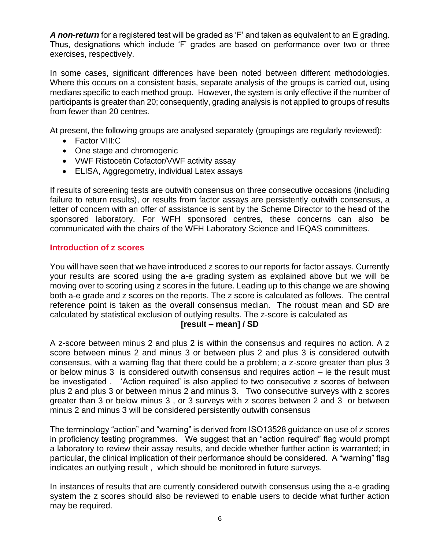*A non-return* for a registered test will be graded as 'F' and taken as equivalent to an E grading. Thus, designations which include 'F' grades are based on performance over two or three exercises, respectively.

In some cases, significant differences have been noted between different methodologies. Where this occurs on a consistent basis, separate analysis of the groups is carried out, using medians specific to each method group. However, the system is only effective if the number of participants is greater than 20; consequently, grading analysis is not applied to groups of results from fewer than 20 centres.

At present, the following groups are analysed separately (groupings are regularly reviewed):

- Factor VIII:C
- One stage and chromogenic
- VWF Ristocetin Cofactor/VWF activity assay
- ELISA, Aggregometry, individual Latex assays

If results of screening tests are outwith consensus on three consecutive occasions (including failure to return results), or results from factor assays are persistently outwith consensus, a letter of concern with an offer of assistance is sent by the Scheme Director to the head of the sponsored laboratory. For WFH sponsored centres, these concerns can also be communicated with the chairs of the WFH Laboratory Science and IEQAS committees.

#### **Introduction of z scores**

You will have seen that we have introduced z scores to our reports for factor assays. Currently your results are scored using the a-e grading system as explained above but we will be moving over to scoring using z scores in the future. Leading up to this change we are showing both a-e grade and z scores on the reports. The z score is calculated as follows. The central reference point is taken as the overall consensus median. The robust mean and SD are calculated by statistical exclusion of outlying results. The z-score is calculated as

#### **[result – mean] / SD**

A z-score between minus 2 and plus 2 is within the consensus and requires no action. A z score between minus 2 and minus 3 or between plus 2 and plus 3 is considered outwith consensus, with a warning flag that there could be a problem; a z-score greater than plus 3 or below minus 3 is considered outwith consensus and requires action – ie the result must be investigated . 'Action required' is also applied to two consecutive z scores of between plus 2 and plus 3 or between minus 2 and minus 3. Two consecutive surveys with z scores greater than 3 or below minus 3 , or 3 surveys with z scores between 2 and 3 or between minus 2 and minus 3 will be considered persistently outwith consensus

The terminology "action" and "warning" is derived from ISO13528 guidance on use of z scores in proficiency testing programmes. We suggest that an "action required" flag would prompt a laboratory to review their assay results, and decide whether further action is warranted; in particular, the clinical implication of their performance should be considered. A "warning" flag indicates an outlying result , which should be monitored in future surveys.

In instances of results that are currently considered outwith consensus using the a-e grading system the z scores should also be reviewed to enable users to decide what further action may be required.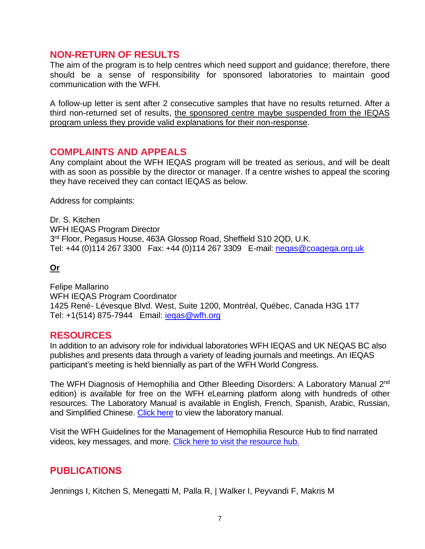## **NON-RETURN OF RESULTS**

The aim of the program is to help centres which need support and guidance; therefore, there should be a sense of responsibility for sponsored laboratories to maintain good communication with the WFH.

A follow-up letter is sent after 2 consecutive samples that have no results returned. After a third non-returned set of results, the sponsored centre maybe suspended from the IEQAS program unless they provide valid explanations for their non-response.

## **COMPLAINTS AND APPEALS**

Any complaint about the WFH IEQAS program will be treated as serious, and will be dealt with as soon as possible by the director or manager. If a centre wishes to appeal the scoring they have received they can contact IEQAS as below.

Address for complaints:

Dr. S. Kitchen WFH IEQAS Program Director 3<sup>rd</sup> Floor, Pegasus House, 463A Glossop Road, Sheffield S10 2QD, U.K. Tel: +44 (0)114 267 3300 Fax: +44 (0)114 267 3309 E-mail: neqas@coageqa.org.uk

## **Or**

Felipe Mallarino WFH IEQAS Program Coordinator 1425 René- Lévesque Blvd. West, Suite 1200, Montréal, Québec, Canada H3G 1T7 Tel: +1(514) 875-7944 Email: [ieqas@wfh.org](mailto:ieqas@wfh.org)

## **RESOURCES**

In addition to an advisory role for individual laboratories WFH IEQAS and UK NEQAS BC also publishes and presents data through a variety of leading journals and meetings. An IEQAS participant's meeting is held biennially as part of the WFH World Congress.

The WFH Diagnosis of Hemophilia and Other Bleeding Disorders: A Laboratory Manual 2<sup>nd</sup> edition) is available for free on the WFH eLearning platform along with hundreds of other resources. The Laboratory Manual is available in English, French, Spanish, Arabic, Russian, and Simplified Chinese. [Click here](https://elearning.wfh.org/resource/diagnosis-of-hemophilia-and-other-bleeding-disorders-a-laboratory-manual/) to view the laboratory manual.

Visit the WFH Guidelines for the Management of Hemophilia Resource Hub to find narrated videos, key messages, and more. [Click here to visit the resource hub.](https://guidelines.wfh.org/chapter/comprehensive-care-of-hemophilia/)

## **PUBLICATIONS**

Jennings I, Kitchen S, Menegatti M, Palla R, | Walker I, Peyvandi F, Makris M